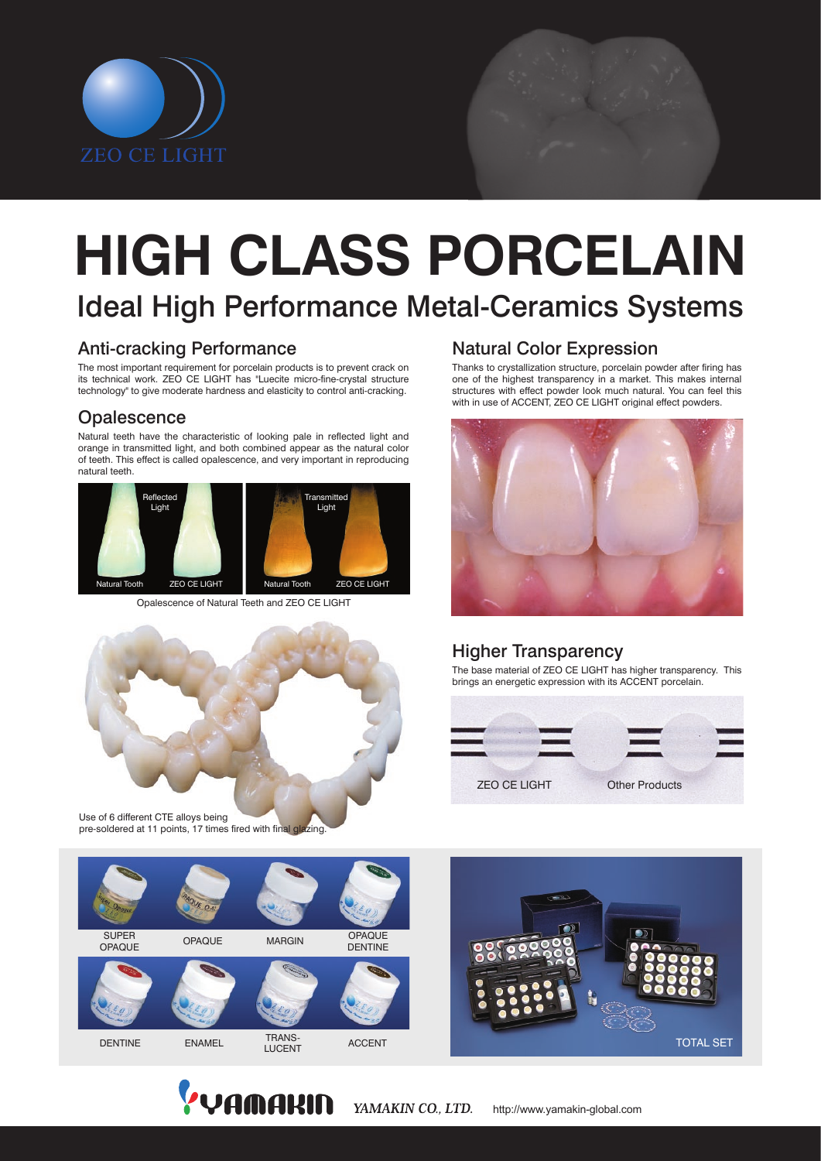

# Ideal High Performance Metal-Ceramics Systems **HIGH CLASS PORCELAIN**

# Anti-cracking Performance

The most important requirement for porcelain products is to prevent crack on its technical work. ZEO CE LIGHT has "Luecite micro-fine-crystal structure technology" to give moderate hardness and elasticity to control anti-cracking.

# **Opalescence**

Natural teeth have the characteristic of looking pale in reflected light and orange in transmitted light, and both combined appear as the natural color of teeth. This effect is called opalescence, and very important in reproducing natural teeth.



Opalescence of Natural Teeth and ZEO CE LIGHT



Use of 6 different CTE alloys being pre-soldered at 11 points, 17 times fired with final glazing.

# Natural Color Expression

Thanks to crystallization structure, porcelain powder after firing has one of the highest transparency in a market. This makes internal structures with effect powder look much natural. You can feel this with in use of ACCENT, ZEO CE LIGHT original effect powders.



# Higher Transparency

The base material of ZEO CE LIGHT has higher transparency. This brings an energetic expression with its ACCENT porcelain.







YAMAKIN CO., LTD. http://www.yamakin-global.com